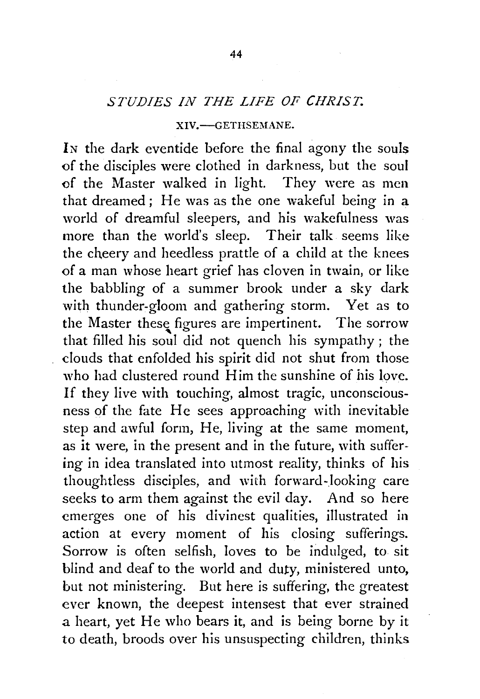# *STUDIES IN THE LIFE OF CHRIST.*

#### XIV.-GETHSEMANE.

IN the dark eventide before the final agony the souls of the disciples were clothed in darkness, but the soul of the Master walked in light. They were as men that dreamed ; He was as the one wakeful being in a world of dreamful sleepers, and his wakefulness was more than the world's sleep. Their talk seems like the cheery and heedless prattle of a child at the knees of a man whose heart grief has cloven in twain, or like the babbling of a summer brook under a sky dark with thunder-gloom and gathering storm. Yet as to the Master these figures are impertinent. The sorrow that filled his soul did not quench his sympathy ; the clouds that enfolded his spirit did not shut from those who had clustered round Him the sunshine of his love. If they live with touching, almost tragic, unconsciousness of the fate He sees approaching with inevitable step and awful form, He, living at the same moment, as it were, in the present and in the future, with suffering in idea translated into utmost reality, thinks of his thoughtless disciples, and with forward-looking care seeks to arm them against the evil day. And so here emerges one of his divinest qualities, illustrated in action at every moment of his closing sufferings. Sorrow is often selfish, loves to be indulged, to sit blind and deaf to the world and duty, ministered unto, but not ministering. But here is suffering, the greatest ever known, the deepest intensest that ever strained a heart, yet He who bears it, and is being borne by it to death, broods over his unsuspecting children, thinks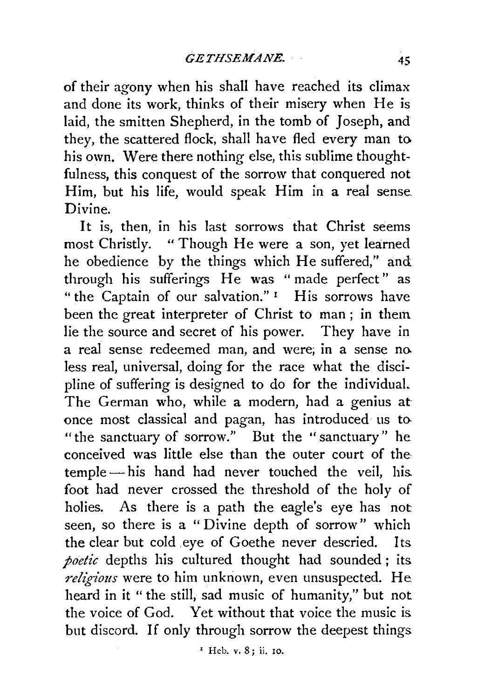of their agony when his shall have reached its climax and done its work, thinks of their misery when He is laid, the smitten Shepherd, in the tomb of Joseph, and they, the scattered flock, shall have fled every man to his own. Were there nothing else, this sublime thoughtfulness, this conquest of the sorrow that conquered not Him, but his life, would speak Him in a real sense. Divine.

It is, then, in his last sorrows that Christ seems most Christly. "Though He were a son, yet learned he obedience by the things which He suffered," and through his sufferings He was " made perfect" as "the Captain of our salvation."<sup>1</sup> His sorrows have been the great interpreter of Christ to man ; in them lie the source and secret of his power. They have in a real sense redeemed man, and were; in a sense no. less real, universal, doing for the race what the discipline of suffering is designed to do for the individuaL The German who, while a modern, had a genius at once most classical and pagan, has introduced us to. "the sanctuary of sorrow." But the "sanctuary" he conceived was little else than the outer court of the temple-his hand had never touched the veil, his. foot had never crossed the threshold of the holy of holies. As there is a path the eagle's eye has not seen, so there is a "Divine depth of sorrow" which the clear but cold eye of Goethe never descried. Its *poetic* depths his cultured thought had sounded ; its *religious* were to him unknown, even unsuspected. He heard in it " the still, sad music of humanity," but not the voice of God. Yet without that voice the music is but discord. If only through sorrow the deepest things

<sup>1</sup> Heb. v. 8; ii. 10.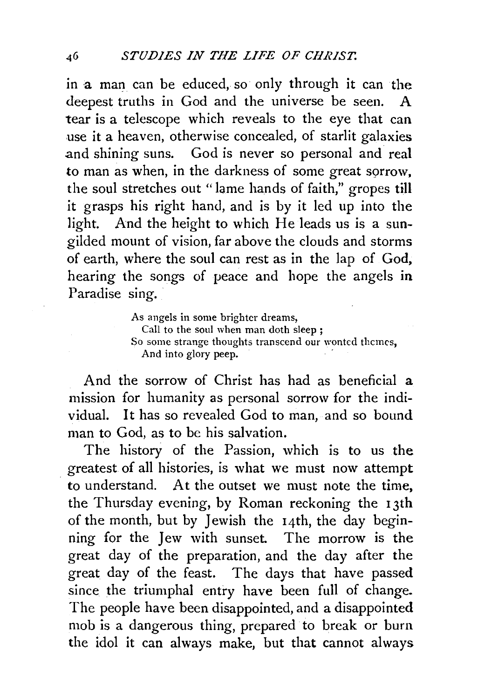in a man can be educed, so only through it can the deepest truths in God and the universe be seen. A tear is a telescope which reveals to the eye that can use it a heaven, otherwise concealed, of starlit galaxies .and shining suns. God is never so personal and real to man as when, in the darkness of some great sorrow, the soul stretches out "lame hands of faith," gropes till it grasps his right hand, and is by it led up into the light. And the height to which He leads us is a sungilded mount of vision, far above the clouds and storms of earth, where the soul can rest as in the lap of God, hearing the songs of peace and hope the angels in Paradise sing.

> As angels in some brighter dreams, Call to the soul when man doth sleep ; So some strange thoughts transcend our wonted themes, And into glory peep.

And the sorrow of Christ has had as beneficial a mission for humanity as personal sorrow for the individual. It has so revealed God to man, and so bound man to God, as to be his salvation.

The history of the Passion, which is to us the . greatest of all histories, is what we must now attempt to understand. At the outset we must note the time, the Thursday evening, by Roman reckoning the 13th of the month, but by Jewish the 14th, the day beginning for the Jew with sunset The morrow is the great day of the preparation, and the day after the great day of the feast. The days that have passed since the triumphal entry have been full of change. The people have been disappointed, and a disappointed mob is a dangerous thing, prepared to break or burn the idol it can always make, but that cannot always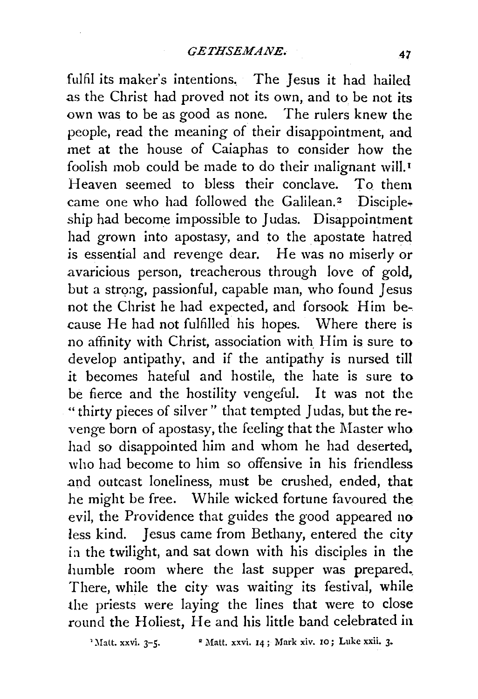fulfil its maker's intentions. The Jesus it had hailed as the Christ had proved not its own, and to be not its own was to be as good as none. The rulers knew the people, read the meaning of their disappointment, and met at the house of Caiaphas to consider how the foolish mob could be made to do their malignant will. 1 Heaven seemed to bless their conclave. To them came one who had followed the Galilean.<sup>2</sup> Discipleship had become impossible to Judas. Disappointment had grown into apostasy, and to the apostate hatred is essential and revenge dear. He was no miserly or avaricious person, treacherous through love of gold, but a strong, passionful, capable man, who found Jesus not the Christ he had expected, and forsook Him be-. cause He had not fulfilled his hopes. Where there is no affinity with Christ, association with Him is sure to develop antipathy, and if the antipathy is nursed till it becomes hateful and hostile, the hate is sure to be fierce and the hostility vengeful. It was not the " thirty pieces of silver" that tempted Judas, but the revenge born of apostasy, the feeling that the Master who had so disappointed him and whom he had deserted. who had become to him so offensive in his friendless and outcast loneliness, must be crushed, ended, that he might be free. While wicked fortune favoured the evil, the Providence that guides the good appeared no less kind. Jesus came from Bethany, entered the city ia the twilight, and sat down with his disciples in the humble room where the last supper was prepared., There, while the city was waiting its festival, while the priests were laying the lines that were to close round the Holiest, He and his little band celebrated in

'Matt. xxvi. 3-5. • <sup>2</sup> Matt. xxvi. 14; Mark xiv. 10; Luke xxii. 3.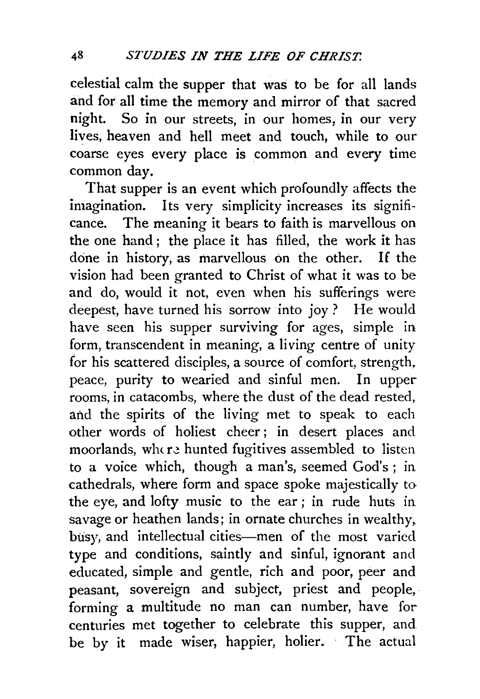celestial calm the supper that was to be for all lands and for all time the memory and mirror of that sacred night. So in our streets, in our homes, in our very lives, heaven and hell meet and touch, while to our coarse eyes every place is common and every time common day.

That supper is an event which profoundly affects the imagination. Its very simplicity increases its significance. The meaning it bears to faith is marvellous on the one hand ; the place it has filled, the work it has done in history, as marvellous on the other. If the vision had been granted to Christ of what it was to be and do, would it not, even when his sufferings were deepest, have turned his sorrow into joy ? He would have seen his supper surviving for ages, simple in form, transcendent in meaning, a living centre of unity for his scattered disciples, a source of comfort, strength, peace, purity to wearied and sinful men. In upper rooms, in catacombs, where the dust of the dead rested. and the spirits of the living met to speak to each other words of holiest cheer ; in desert places and moorlands, where hunted fugitives assembled to listen to a voice which, though a man's, seemed God's; in cathedrals, where form and space spoke majestically to the eye, and lofty music to the ear ; in rude huts in savage or heathen lands; in ornate churches in wealthy, busy, and intellectual cities-men of the most varied type and conditions, saintly and sinful, ignorant and educated, simple and gentle, rich and poor, peer and peasant, sovereign and subject, priest and people. forming a multitude no man can number, have for centuries met together to celebrate this supper, and be by it made wiser, happier, holier. The actual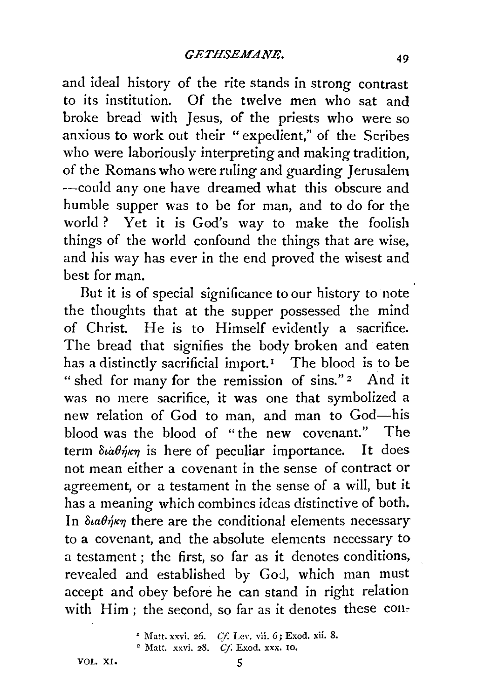and ideal history of the rite stands in strong contrast to its institution. Of the twelve men who sat and broke bread with Jesus, of the priests who were so anxious to work out their "expedient," of the Scribes who were laboriously interpreting and making tradition, of the Romans who were ruling and guarding Jerusalem --could any one have dreamed what this obscure and humble supper was to be for man, and to do for the world ? Yet it is God's way to make the foolish things of the world confound the things that are wise, and his way has ever in the end proved the wisest and best for man.

But it is of special significance to our history to note the thoughts that at the supper possessed the mind of Christ. He is to Himself evidently a sacrifice. The bread that signifies the body broken and eaten has a distinctly sacrificial import.<sup> $I$ </sup> The blood is to be " shed for many for the remission of sins." 2 And it was no mere sacrifice, it was one that symbolized a new relation of God to man, and man to God-his blood was the blood of "the new covenant." The term  $\delta \omega \theta \eta \kappa \eta$  is here of peculiar importance. It does not mean either a covenant in the sense of contract or agreement, or a testament in the sense of a will, but it has a meaning which combines ideas distinctive of both. In  $\delta u \theta \acute{\eta} \kappa \eta$  there are the conditional elements necessary to a covenant, and the absolute elements necessary to a testament ; the first, so far as it denotes conditions, revealed and established by God, which man must accept and obey before he can stand in right relation with  $\text{Him}$ ; the second, so far as it denotes these con-

<sup>1</sup> Matt. xxvi. 26. *Cf.* Lev. vii. 6; Exod. xii. 8. <sup>2</sup> Matt. xxvi. 28. *Cf.* Exod. xxx. 10.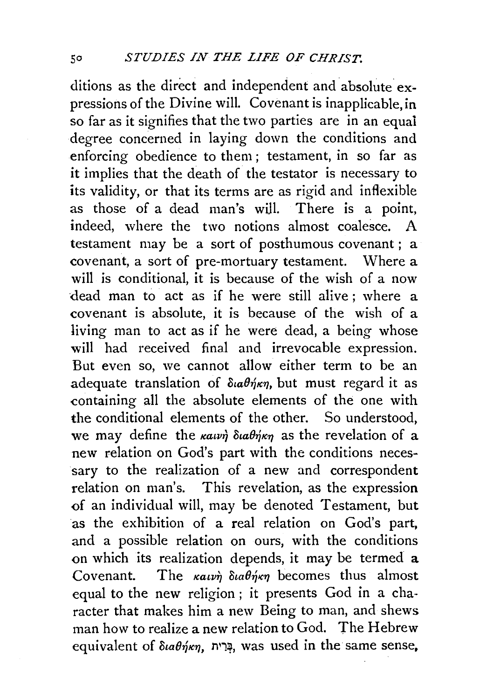ditions as the direct and independent and absolute expressions of the Divine will. Covenant is inapplicable, in so far as it signifies that the two parties are in an equai degree concerned in laying down the conditions and enforcing obedience to them ; testament, in so far as it implies that the death of the testator is necessary to its validity, or that its terms are as rigid and inflexible as those of a dead man's will. There is a point, indeed, where the two notions almost coalesce. A testament may be a sort of posthumous covenant; a covenant, a sort of pre-mortuary testament. Where a will is conditional, it is because of the wish of a now dead man to act as if he were still alive; where a covenant is absolute, it is because of the wish of a living man to act as if he were dead, a being whose will had received final and irrevocable expression. But even so, we cannot allow either term to be an adequate translation of  $\delta u \theta \eta \kappa \eta$ , but must regard it as containing all the absolute elements of the one with the conditional elements of the other. So understood, we may define the  $\kappa a \nu \dot{\eta}$  ota $\theta \dot{\eta} \kappa \eta$  as the revelation of a new relation on God's part with the conditions necessary to the realization of a new and correspondent relation on man's. This revelation, as the expression -of an individual will, may be denoted Testament, but as the exhibition of a real relation on God's part, and a possible relation on ours, with the conditions on which its realization depends, it may be termed a Covenant. The  $\kappa a \nu \dot{n}$  daen $\kappa \eta$  becomes thus almost equal to the new religion ; it presents God in a character that makes him a new Being to man, and shews man how to realize a new relation to God. The Hebrew equivalent of  $\delta u \theta \eta \kappa \eta$ , בְּרִית, was used in the same sense,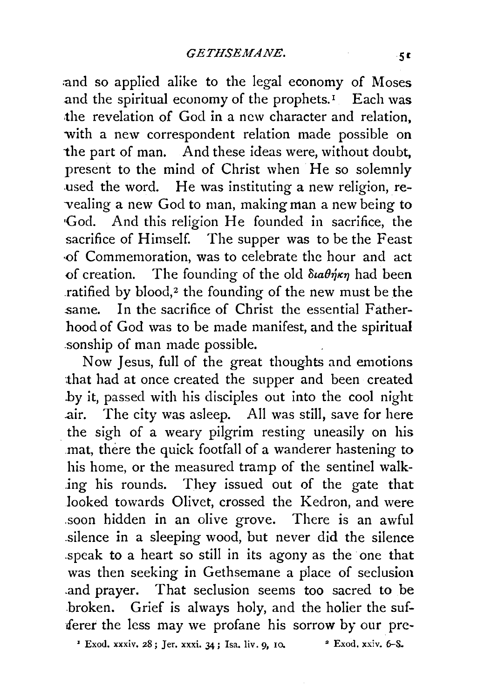:and so applied alike to the legal economy of Moses and the spiritual economy of the prophets.<sup> $I$ </sup> Each was the revelation of God in a new character and relation, with a new correspondent relation made possible on the part of man. And these ideas were, without doubt, present to the mind of Christ when He so solemnly used the word. He was instituting a new religion, re--vealing a new God to man, making man a new being to •God. And this religion He founded in sacrifice, the sacrifice of Himself. The supper was to be the Feast ·of Commemoration, was to celebrate the hour and act of creation. The founding of the old  $\delta u \partial \eta \kappa \eta$  had been ratified by blood,<sup>2</sup> the founding of the new must be the same. In the sacrifice of Christ the essential Fatherhood of God was to be made manifest, and the spiritual .sonship of man made possible.

Now Jesus, full of the great thoughts and emotions that had at once created the supper and been created .by it, passed with his disciples out into the cool night .air. The city was asleep. All was still, save for here the sigh of a weary pilgrim resting uneasily on his mat, there the quick footfall of a wanderer hastening to his home, or the measured tramp of the sentinel walk- .ing his rounds. They issued out of the gate that looked towards Olivet, crossed the Kedron, and were .soon hidden in an olive grove. There is an awful .silence in a sleeping wood, but never did the silence .speak to a heart so still in its agony as the one that was then seeking in Gethsemane a place of seclusion .and prayer. That seclusion seems too sacred to be .broken. Grief is always holy, and the holier the sufferer the less may we profane his sorrow by our pre-

 $\cdot$  Exod. xxxiv. 28; Jer. xxxi. 34; Isa. liv. 9, 10.  $\cdot$   $\cdot$  Exod. xxiv. 6-S.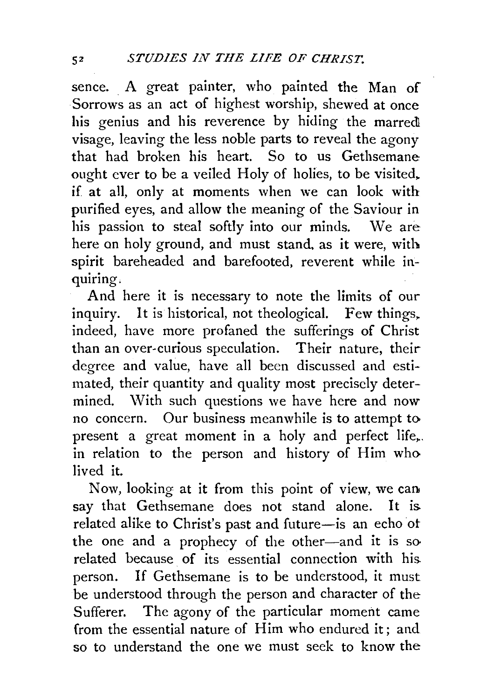sence. A great painter, who painted the Man of Sorrows as an act of highest worship, shewed at once his genius and his reverence by hiding the marred visage, leaving the less noble parts to reveal the agony that had broken his heart. So to us Gethsemane ought ever to be a veiled Holy of holies, to be visited, if at all, only at moments when we can look with purified eyes, and allow the meaning of the Saviour in his passion to steal softly into our minds. We are here on holy ground, and must stand. as it were, with spirit bareheaded and barefooted, reverent while inquiring.

And here it is necessary to note the limits of our inquiry. It is historical, not theological. Few things. indeed, have more profaned the sufferings of Christ than an over-curious speculation. Their nature, their degree and value, have all been discussed and estimated, their quantity and quality most precisely determined. With such questions we have here and now no concern. Our business meanwhile is to attempt to present a great moment in a holy and perfect life,.. in relation to the person and history of Him who lived it.

Now, looking at it from this point of view, we can say that Gethsemane does not stand alone. It is related alike to Christ's past and future-is an echo of the one and a prophecy of the other-and it is so related because of its essential connection with his person. If Gethsemane is to be understood, it must be understood through the person and character of the Sufferer. The agony of the particular moment came from the essential nature of Him who endured it; and so to understand the one we must seek to know the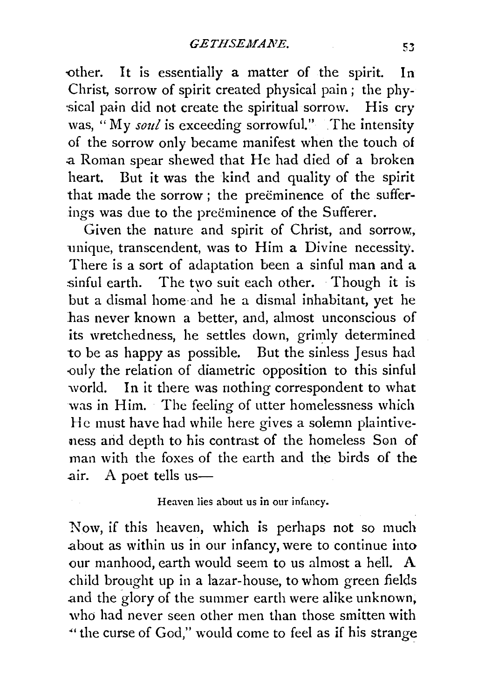other. It is essentially a matter of the spirit. In Christ, sorrow of spirit created physical pain ; the phy sical pain did not create the spiritual sorrow. His cry was, "My *soul* is exceeding sorrowful." The intensity of the sorrow only became manifest when the touch of .a Roman spear shewed that He had died of a broken heart. But it was the kind and quality of the spirit that made the sorrow ; the preëminence of the sufferings was due to the preeminence of the Sufferer.

Given the nature and spirit of Christ, and sorrow, unique, transcendent, was to Him a Divine necessity. There is a sort of adaptation been a sinful man and a sinful earth. The two suit each other. Though it is but a dismal home and he a dismal inhabitant, yet he has never known a better, and, almost unconscious of its wretchedness, he settles down, grimly determined to be as happy as possible. But the sinless Jesus had -ouly the relation of diametric opposition to this sinful world. In it there was nothing correspondent to what was in Him. The feeling of utter homelessness which He must have had while here gives a solemn plaintiveness arid depth to his contrast of the homeless Son of man with the foxes of the earth and the birds of the air. A poet tells us-

### Heaven lies about us in our infancy.

Now, if this heaven, which is perhaps not so much .about as within us in our infancy, were to continue into our manhood, earth would seem to us almost a hell. A child brought up in a lazar-house, to whom green fields .and the glory of the summer earth were alike unknown, who had never seen other men than those smitten with "the curse of God," would come to feel as if his strange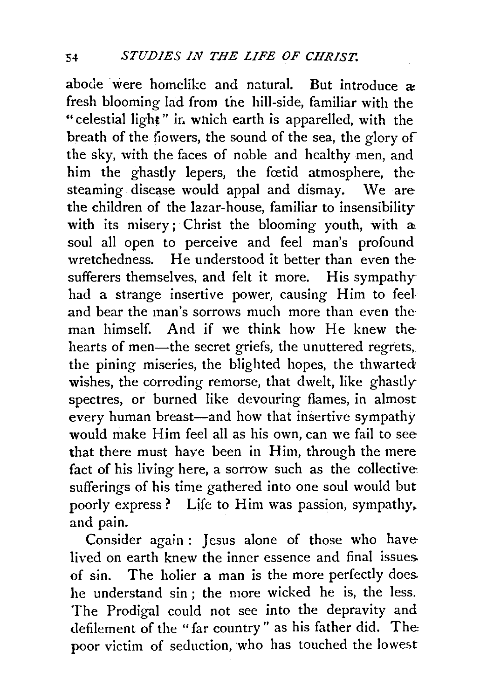abode were homelike and natural. But introduce  $\rightarrow$ fresh blooming lad from the hill-side, familiar with the "celestial light" in which earth is apparelled, with the breath of the fiowers, the sound of the sea, the glory of the sky, with the faces of noble and healthy men, and him the ghastly lepers, the fortid atmosphere, the steaming disease would appal and dismay. We are the children of the lazar-house, familiar to insensibility with its misery; Christ the blooming youth, with a soul all open to perceive and feel man's profound wretchedness. He understood it better than even the sufferers themselves, and felt it more. His sympathy had a strange insertive power, causing Him to feel and bear the man's sorrows much more than even theman himself. And if we think how He knew the hearts of men—the secret griefs, the unuttered regrets, the pining miseries, the blighted hopes, the thwarted wishes, the corroding remorse, that dwelt, like ghastly spectres, or burned like devouring flames, in almost every human breast—and how that insertive sympathy would make Him feel all as his own, can we fail to see that there must have been in Him, through the mere fact of his living here, a sorrow such as the collective sufferings of his time gathered into one soul would but poorly express? Life to Him was passion, sympathy, and pain.

Consider again: Jesus alone of those who have lived on earth knew the inner essence and final issues. of sin. The holier a man is the more perfectly does. he understand sin ; the more wicked he is, the less. The Prodigal could not see into the depravity and defilement of the "far country" as his father did. The poor victim of seduction, who has touched the lowest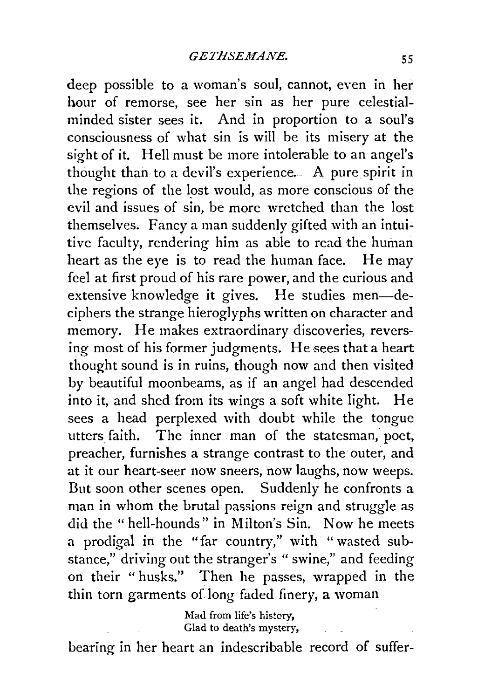deep possible to a woman's soul, cannot, even in her hour of remorse, see her sin as her pure celestialminded sister sees it. And in proportion to a soul's consciousness of what sin is will be its misery at the sight of it. Hell must be more intolerable to an angel's thought than to a devil's experience. A pure spirit in the regions of the lost would, as more conscious of the evil and issues of sin, be more wretched than the lost themselves. Fancy a man suddenly gifted with an intuitive faculty, rendering him as able to read the human heart as the eye is to read the human face. He may feel at first proud of his rare power, and the curious and extensive knowledge it gives. He studies men-deciphers the strange hieroglyphs written on character and memory. He makes extraordinary discoveries, reversing most of his former judgments. He sees that a heart thought sound is in ruins, though now and then visited by beautiful moonbeams, as if an angel had descended into it, and shed from its wings a soft white light. He sees a head perplexed with doubt while the tongue utters faith. The inner man of the statesman, poet, preacher, furnishes a strange contrast to the outer, and at it our heart-seer now sneers, now laughs, now weeps. But soon other scenes open. Suddenly he confronts a man in whom the brutal passions reign and struggle as did the "hell-hounds" in Milton's Sin. Now he meets a prodigal in the "far country," with "wasted substance," driving out the stranger's "swine," and feeding on their "husks." Then he passes, wrapped in the thin torn garments of long faded finery, a woman

> Mad from life's history, Glad to death's mystery,

bearing in her heart an indescribable record of suffer-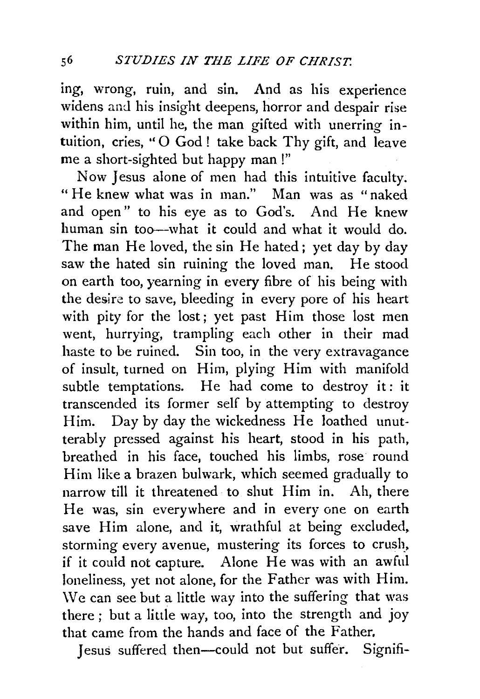ing, wrong, ruin, and sin. And as his experience widens and his insight deepens, horror and despair rise within him, until he, the man gifted with unerring intuition, cries, "O God! take back Thy gift, and leave me a short-sighted but happy man!"

Now Jesus alone of men had this intuitive faculty. " He knew what was in man." Man was as "naked and open" to his eye as to God's. And He knew human sin too--what it could and what it would do. The man He loved, the sin He hated ; yet day by day saw the hated sin ruining the loved man. He stood on earth too, yearning in every fibre of his being with the desire to save, bleeding in every pore of his heart with pity for the lost; yet past Him those lost men went, hurrying, trampling each other in their mad haste to be ruined. Sin too, in the very extravagance of insult, turned on Him, plying Him with manifold subtle temptations. He had come to destroy it: it transcended its former self by attempting to destroy Him. Day by day the wickedness He loathed unutterably pressed against his heart, stood in his path, breathed in his face, touched his limbs, rose round Him like a brazen bulwark, which seemed gradually to narrow till it threatened to shut Him in. Ah, there He was, sin everywhere and in every one on earth save Him alone, and it, wrathful at being excluded, storming every avenue, mustering its forces to crush, if it could not capture. Alone He was with an awful loneliness, yet not alone, for the Father was with Him. \Ve can see but a little way into the suffering that was there ; but a little way, too, into the strength and joy that came from the hands and face of the Father.

Jesus suffered then-could not but suffer. Signifi-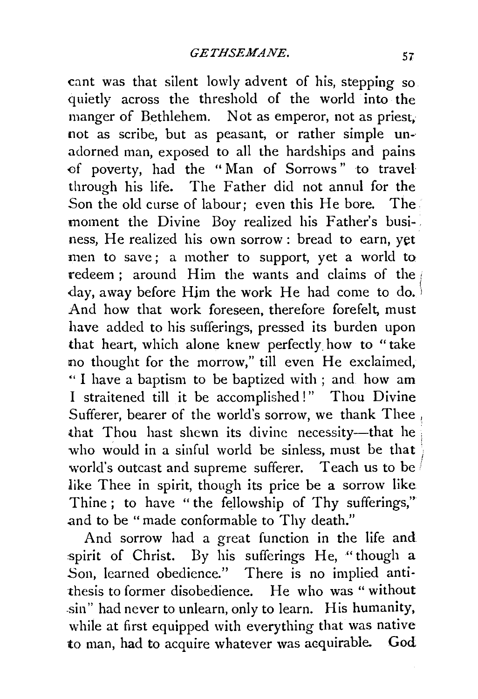cant was that silent lowly advent of his, stepping so quietly across the threshold of the world into the manger of Bethlehem. Not as emperor, not as priest, not as scribe, but as peasant, or rather simple un-· adorned man, exposed to all the hardships and pains of poverty, had the "Man of Sorrows" to travel through his life. The Father did not annul for the Son the old curse of labour; even this He bore. The moment the Divine Boy realized his Father's busi-. ness, He realized his own sorrow: bread to earn, yet men to save; a mother to support, yet a world to redeem; around Him the wants and claims of the day, away before Him the work He had come to do.<sup>)</sup> And how that work foreseen, therefore forefelt, must have added to his sufferings, pressed its burden upon that heart, which alone knew perfectly how to "take no thought for the morrow," till even He exclaimed, " I have a baptism to be baptized with ; and how am I straitened till it be accomplished!" Thou Divine Sufferer, bearer of the world's sorrow, we thank Thee, that Thou hast shewn its divine necessity-that he who would in a sinful world be sinless, must be that world's outcast and supreme sufferer. Teach us to be like Thee in spirit, though its price be a sorrow like Thine ; to have "the fellowship of Thy sufferings," and to be "made conformable to Thy death."

And sorrow had a great function in the life and spirit of Christ. By his sufferings He, "though a Son, learned obedience." There is no implied antithesis to former disobedience. He who was "without -sin" had never to unlearn, only to learn. His humanity, while at first equipped with everything that was native to man, had to acquire whatever was acquirable. God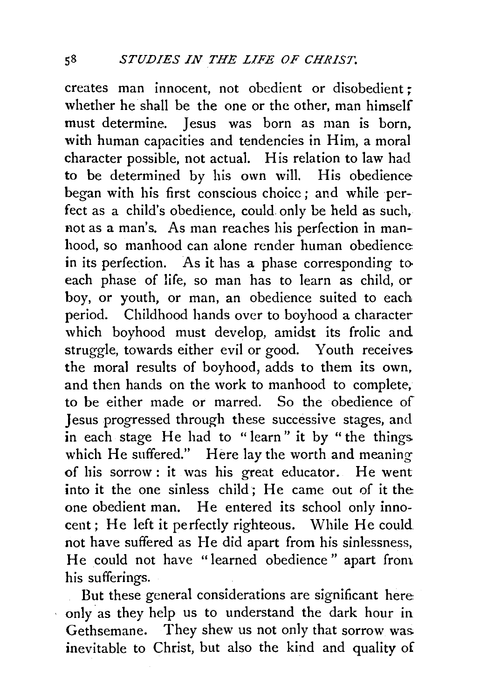creates man innocent, not obedient or disobedient ; whether he shall be the one or the other, man himself must determine. Jesus was born as man is born, with human capacities and tendencies in Him, a moral character possible, not actual. His relation to law had to be determined by his own will. His obedience began with his first conscious choice ; and while perfect as a child's obedience, could only be held as such, not as a man's. As man reaches his perfection in manhood, so manhood can alone render human obedience. in its perfection. As it has a phase corresponding to. each phase of life, so man has to learn as child, or boy, or youth, or man, an obedience suited to each period. Childhood hands over to boyhood a character which boyhood must develop, amidst its frolic and struggle, towards either evil or good. Youth receives the moral results of boyhood, adds to them its own, and then hands on the work to manhood to complete, to be either made or marred. So the obedience of Jesus progressed through these successive stages, and in each stage He had to " learn" it by " the things which He suffered." Here lay the worth and meaning of his sorrow: it was his great educator. He went into it the one sinless child; He came out of it the one obedient man. He entered its school only innocent; He left it perfectly righteous. While He could not have suffered as He did apart from his sinlessness, He could not have "learned obedience" apart from. his sufferings.

But these general considerations are significant here only as they help us to understand the dark hour in Gethsemane. They shew us not only that sorrow was inevitable to Christ, but also the kind and quality of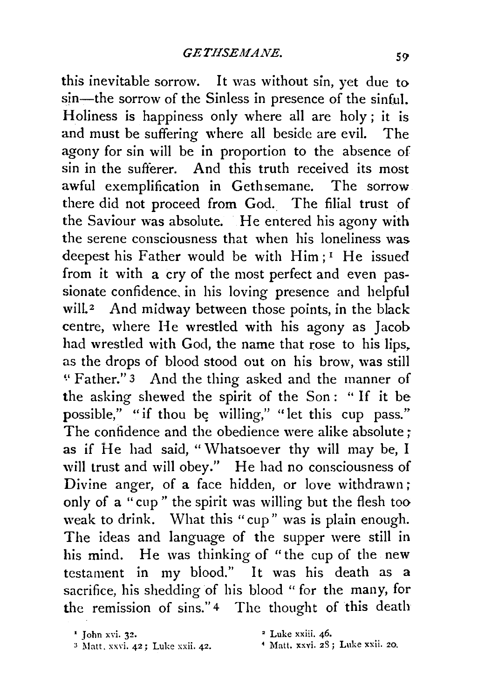this inevitable sorrow. It was without sin, yet due to sin—the sorrow of the Sinless in presence of the sinful. Holiness is happiness only where all are holy ; it is and must be suffering where all beside are evil. The agony for sin will be in proportion to the absence of sin in the sufferer. And this truth received its most awful exemplification in Gethsemane. The sorrow there did not proceed from God.. The filial trust of the Saviour was absolute. He entered his agony with the serene consciousness that when his loneliness was deepest his Father would be with  $\text{Him}:$ <sup>1</sup> He issued from it with a cry of the most perfect and even passionate confidence, in his loving presence and helpful will.<sup>2</sup> And midway between those points, in the black centre, where He wrestled with his agony as Jacob had wrestled with God, the name that rose to his lips. as the drops of blood stood out on his brow, was still ~·Father." 3 And the thing asked and the manner of the asking shewed the spirit of the Son : " If it be possible," "if thou be willing," "let this cup pass." The confidence and the obedience were alike absolute : as if He had said, "Whatsoever thy will may be, I will trust and will obey." He had no consciousness of Divine anger, of a face hidden, or love withdrawn; only of a "cup" the spirit was willing but the flesh too weak to drink. What this "cup" was is plain enough. The ideas and language of the supper were still in his mind. He was thinking of "the cup of the new testament in my blood." It was his death as a sacrifice, his shedding of his blood "for the many, for the remission of sins."<sup>4</sup> The thought of this death

• Luke xxiii. 46.

- $3$  Matt. xxvi. 42; Luke xxii. 42.
- 4 Matt. xxvi. 2S ; Luke xxii. 20.

<sup>1</sup> John xvi. 32.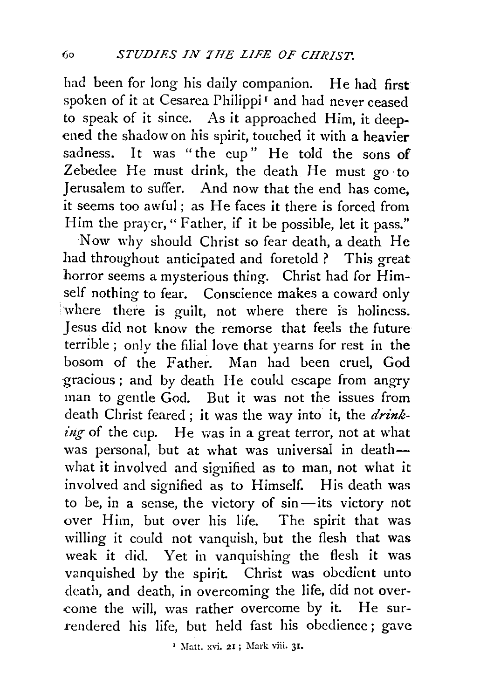had been for long his daily companion. He had first spoken of it at Cesarea Philippi<sup>1</sup> and had never ceased to speak of it since. As it approached Him, it deepened the shadow on his spirit, touched it with a heavier sadness. It was "the cup" He told the sons of Zebedee He must drink, the death He must go to Jerusalem to suffer. And now that the end has come, it seems too awful; as He faces it there is forced from Him the prayer, "Father, if it be possible, let it pass."

Now why should Christ so fear death, a death He had throughout anticipated and foretold ? This great horror seems a mysterious thing. Christ had for Himself nothing to fear. Conscience makes a coward only where there is guilt, not where there is holiness. Jesus did not know the remorse that feels the future terrible; only the filial love that yearns for rest in the bosom of the Father. Man had been cruel, God gracious; and by death He could escape from angry man to gentle God. But it was not the issues from death Christ feared ; it was the way into it, the *drinking* of the cup. He was in a great terror, not at what was personal, but at what was universal in deathwhat it involved and signified as to man, not what it involved and signified as to Himself. His death was to be, in a sense, the victory of sin-its victory not over Him, but over his life. The spirit that was willing it could not vanquish, but the flesh that was weak it did. Yet in vanquishing the flesh it was vanquished by the spirit. Christ was obedient unto death, and death, in overcoming the life, did not over- -come the will, was rather overcome by it. He surrendered his life, but held fast his obedience; gave

<sup>&</sup>lt;sup>1</sup> Matt. xvi. 21; Mark viii. 31.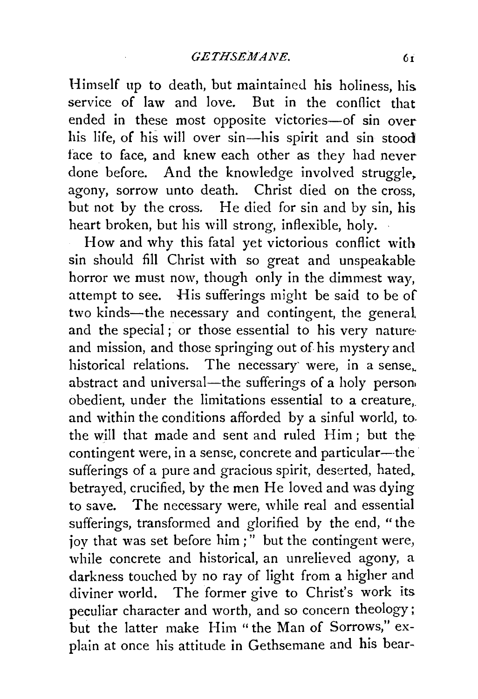Himself up to death, but maintained his holiness, his. service of law and love. But in the conflict that ended in these most opposite victories-of sin over his life, of his will over sin-his spirit and sin stood face to face, and knew each other as they had never done before. And the knowledge involved struggle. agony, sorrow unto death. Christ died on the cross, but not by the cross. He died for sin and by sin, his heart broken, but his will strong, inflexible, holy.

How and why this fatal yet victorious conflict with sin should fill Christ with so great and unspeakable horror we must now, though only in the dimmest way, attempt to see. His sufferings might be said to be of two kinds-the necessary and contingent, the general and the special; or those essential to his very natureand mission, and those springing out of his mystery and historical relations. The necessary were, in a sense, abstract and universal—the sufferings of a holy person. obedient, under the limitations essential to a creature,. and within the conditions afforded by a sinful world, to. the will that made and sent and ruled Him; but thecontingent were, in a sense, concrete and particular---the sufferings of a pure and gracious spirit, deserted, hated, betrayed, crucified, by the men He loved and was dying to save. The necessary were, while real and essential sufferings, transformed and glorified by the end, "the joy that was set before him;" but the contingent were, while concrete and historical, an unrelieved agony, a darkness touched by no ray of light from a higher and diviner world. The former give to Christ's work its. peculiar character and worth, and so concern theology; but the latter make Him "the Man of Sorrows," explain at once his attitude in Gethsemane and his bear-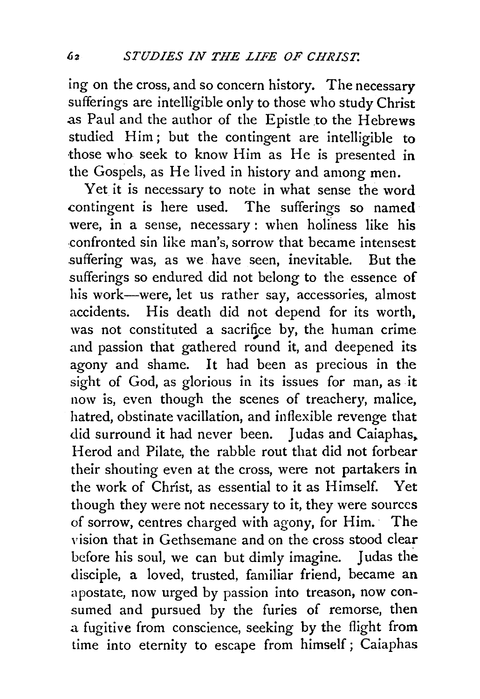ing on the cross, and so concern history. The necessary sufferings are intelligible only to those who study Christ as Paul and the author of the Epistle to the Hebrews studied Him; but the contingent are intelligible to those who seek to know Him as He is presented in the Gospels, as He lived in history and among men.

Yet it is necessary to note in what sense the word contingent is here used. The sufferings so named were, in a sense, necessary : when holiness like his .confronted sin like man's, sorrow that became intensest suffering was, as we have seen, inevitable. But the sufferings so endured did not belong to the essence of his work-were, let us rather say, accessories, almost accidents. His death did not depend for its worth, was not constituted a sacrifice by, the human crime and passion that gathered round it, and deepened its agony and shame. It had been as precious in the sight of God, as glorious in its issues for man, as it now is, even though the scenes of treachery, malice, hatred, obstinate vacillation, and inflexible revenge that did surround it had never been. *1* udas and Caiaphas,. Herod and Pilate, the rabble rout that did not forbear their shouting even at the cross, were not partakers in the work of Christ, as essential to it as Himself. Yet though they were not necessary to it, they were sources of sorrow, centres charged with agony, for Him.· The vision that in Gethsemane and on the cross stood clear before his soul, we can but dimly imagine. *1* udas the disciple, a loved, trusted, familiar friend, became an apostate, now urged by passion into treason, now consumed and pursued by the furies of remorse, then a fugitive from conscience, seeking by the flight from time into eternity to escape from himself; Caiaphas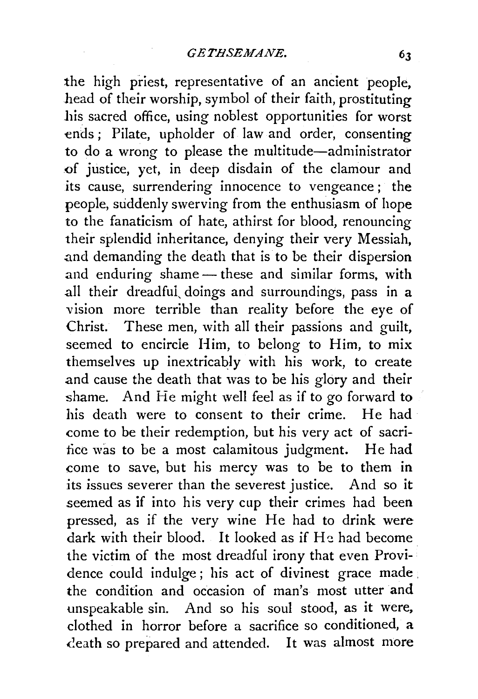the high priest, representative of an ancient people, head of their worship, symbol of their faith, prostituting his sacred office, using noblest opportunities for worst ends ; Pilate, upholder of law and order, consenting to do a wrong to please the multitude-administrator .of justice, yet, in deep disdain of the clamour and its cause, surrendering innocence to vengeance ; the people, suddenly swerving from the enthusiasm of hope to the fanaticism of hate, athirst for blood, renouncing their splendid inheritance, denying their very Messiah, .and demanding the death that is to be their dispersion and enduring shame - these and similar forms, with all their dreadful, doings and surroundings, pass in a vision more terrible than reality before the eye of Christ. These men, with all their passions and guilt, seemed to encircle Him, to belong to Him, to mix themselves up inextricably with his work, to create and cause the death that was to be his glory and their shame. And He might well feel as if to go forward to his death were to consent to their crime. He had come to be their redemption, but his very act of sacritice was to be a most calamitous judgment. He had come to save, but his mercy was to be to them in its issues severer than the severest justice. And so it seemed as if into his very cup their crimes had been pressed, as if the very wine He had to drink were dark with their blood. It looked as if  $H_2$  had become the victim of the most dreadful irony that even Providence could indulge; his act of divinest grace made . the condition and occasion of man's most utter and unspeakable sin. And so his soul stood, as it were, clothed in horror before a sacrifice so conditioned, a ceath so prepared and attended. It was almost more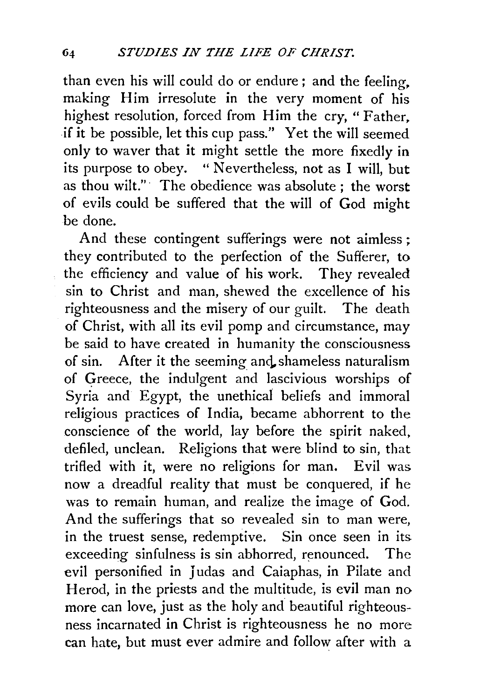than even his will could do or endure ; and the feeling, making Him irresolute in the very moment of his highest resolution, forced from Him the cry, "Father, if it be possible, let this cup pass." Yet the will seemed only to waver that it might settle the more fixedly in its purpose to obey. "Nevertheless, not as I will, but as thou wilt."· The obedience was absolute ; the worst of evils could be suffered that the will of God might be done.

And these contingent sufferings were not aimless ; they contributed to the perfection of the Sufferer, to the efficiency and value of his work. They revealed sin to Christ and man, shewed the excellence of his righteousness and the misery of our guilt. The death of Christ, with all its evil pomp and circumstance, may be said to have created in humanity the consciousness. of sin. After it the seeming and shameless naturalism of qreece, the indulgent and lascivious worships of Syria and Egypt, the unethical beliefs and immoral religious practices of India, became abhorrent to the conscience of the world, lay before the spirit naked, defiled, unclean. Religions that were blind to sin, that trifled with it, were no religions for man. Evil was now a dreadful reality that must be conquered, if he was to remain human, and realize the image of God. And the sufferings that so revealed sin to man were, in the truest sense, redemptive. Sin once seen in its. exceeding sinfulness is sin abhorred, renounced. The evil personified in Judas and Caiaphas, in Pilate and Herod, in the priests and the multitude, is evil man no more can love, just as the holy and beautiful righteousness incarnated in Christ is righteousness he no more can hate, but must ever admire and follow after with a